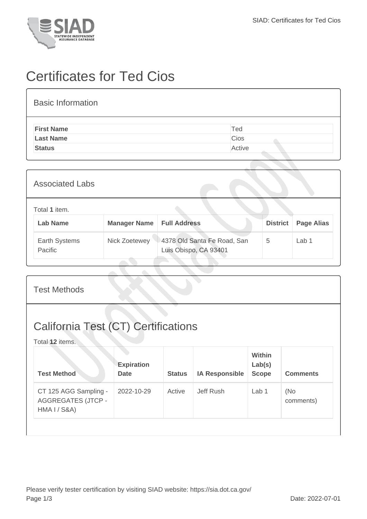

## Certificates for Ted Cios

| <b>Basic Information</b> |        |
|--------------------------|--------|
| <b>First Name</b>        | Ted    |
| <b>Last Name</b>         | Cios   |
| <b>Status</b>            | Active |
|                          |        |

| <b>Associated Labs</b>           |                                    |                                                      |                 |                   |
|----------------------------------|------------------------------------|------------------------------------------------------|-----------------|-------------------|
| Total 1 item.<br><b>Lab Name</b> | <b>Manager Name   Full Address</b> |                                                      | <b>District</b> | <b>Page Alias</b> |
| Earth Systems<br>Pacific         | Nick Zoetewey                      | 4378 Old Santa Fe Road, San<br>Luis Obispo, CA 93401 | 5               | Lab 1             |

| <b>Test Methods</b>                                                           |                                  |               |                       |                                         |                  |  |
|-------------------------------------------------------------------------------|----------------------------------|---------------|-----------------------|-----------------------------------------|------------------|--|
| <b>California Test (CT) Certifications</b><br>Total 12 items.                 |                                  |               |                       |                                         |                  |  |
| <b>Test Method</b>                                                            | <b>Expiration</b><br><b>Date</b> | <b>Status</b> | <b>IA Responsible</b> | <b>Within</b><br>Lab(s)<br><b>Scope</b> | <b>Comments</b>  |  |
| CT 125 AGG Sampling -<br><b>AGGREGATES (JTCP -</b><br><b>HMA I / S&amp;A)</b> | 2022-10-29                       | Active        | Jeff Rush             | Lab <sub>1</sub>                        | (No<br>comments) |  |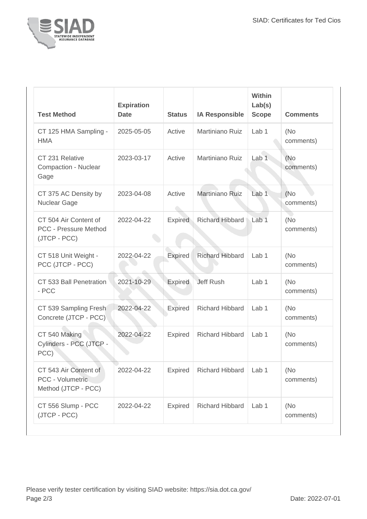

| <b>Test Method</b>                                                    | <b>Expiration</b><br><b>Date</b> | <b>Status</b>         | <b>IA Responsible</b>  | Within<br>Lab(s)<br><b>Scope</b> | <b>Comments</b>  |
|-----------------------------------------------------------------------|----------------------------------|-----------------------|------------------------|----------------------------------|------------------|
| CT 125 HMA Sampling -<br><b>HMA</b>                                   | 2025-05-05                       | Active                | Martiniano Ruiz        | Lab <sub>1</sub>                 | (No<br>comments) |
| CT 231 Relative<br>Compaction - Nuclear<br>Gage                       | 2023-03-17                       | Active                | Martiniano Ruiz        | Lab <sub>1</sub>                 | (No<br>comments) |
| CT 375 AC Density by<br><b>Nuclear Gage</b>                           | 2023-04-08                       | Active<br>$\triangle$ | Martiniano Ruiz        | Lab <sub>1</sub>                 | (No<br>comments) |
| CT 504 Air Content of<br><b>PCC - Pressure Method</b><br>(JTCP - PCC) | 2022-04-22                       | <b>Expired</b>        | <b>Richard Hibbard</b> | Lab <sub>1</sub>                 | (No<br>comments) |
| CT 518 Unit Weight -<br>PCC (JTCP - PCC)                              | 2022-04-22                       | <b>Expired</b>        | <b>Richard Hibbard</b> | Lab <sub>1</sub>                 | (No<br>comments) |
| CT 533 Ball Penetration<br>- PCC                                      | 2021-10-29                       | <b>Expired</b>        | <b>Jeff Rush</b>       | Lab <sub>1</sub>                 | (No<br>comments) |
| CT 539 Sampling Fresh<br>Concrete (JTCP - PCC)                        | 2022-04-22                       | Expired               | <b>Richard Hibbard</b> | Lab <sub>1</sub>                 | (No<br>comments) |
| CT 540 Making<br>Cylinders - PCC (JTCP -<br>PCC)                      | 2022-04-22                       | <b>Expired</b>        | <b>Richard Hibbard</b> | Lab <sub>1</sub>                 | (No<br>comments) |
| CT 543 Air Content of<br>PCC - Volumetric<br>Method (JTCP - PCC)      | 2022-04-22                       | <b>Expired</b>        | <b>Richard Hibbard</b> | Lab <sub>1</sub>                 | (No<br>comments) |
| CT 556 Slump - PCC<br>(JTCP - PCC)                                    | 2022-04-22                       | <b>Expired</b>        | <b>Richard Hibbard</b> | Lab <sub>1</sub>                 | (No<br>comments) |